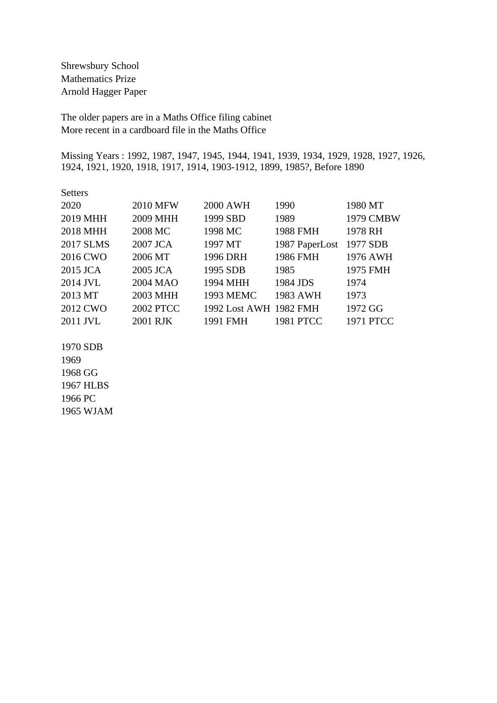Shrewsbury School Mathematics Prize Arnold Hagger Paper

The older papers are in a Maths Office filing cabinet More recent in a cardboard file in the Maths Office

Missing Years : 1992, 1987, 1947, 1945, 1944, 1941, 1939, 1934, 1929, 1928, 1927, 1926, 1924, 1921, 1920, 1918, 1917, 1914, 1903-1912, 1899, 1985?, Before 1890

| <b>Setters</b>   |                  |                        |                  |                  |
|------------------|------------------|------------------------|------------------|------------------|
| 2020             | <b>2010 MFW</b>  | <b>2000 AWH</b>        | 1990             | 1980 MT          |
| 2019 MHH         | 2009 MHH         | 1999 SBD               | 1989             | 1979 CMBW        |
| 2018 MHH         | 2008 MC          | 1998 MC                | <b>1988 FMH</b>  | 1978 RH          |
| <b>2017 SLMS</b> | 2007 JCA         | 1997 MT                | 1987 PaperLost   | 1977 SDB         |
| 2016 CWO         | 2006 MT          | 1996 DRH               | 1986 FMH         | 1976 AWH         |
| 2015 JCA         | 2005 JCA         | 1995 SDB               | 1985             | 1975 FMH         |
| 2014 JVL         | 2004 MAO         | 1994 MHH               | 1984 JDS         | 1974             |
| 2013 MT          | 2003 MHH         | <b>1993 MEMC</b>       | 1983 AWH         | 1973             |
| 2012 CWO         | <b>2002 PTCC</b> | 1992 Lost AWH 1982 FMH |                  | 1972 GG          |
| 2011 JVL         | 2001 RJK         | 1991 FMH               | <b>1981 PTCC</b> | <b>1971 PTCC</b> |

1970 SDB 1969 1968 GG 1967 HLBS 1966 PC 1965 WJAM